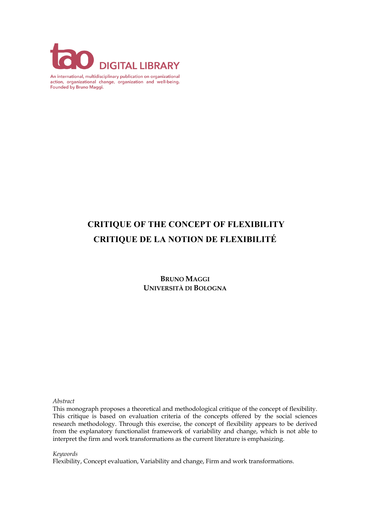

An international, multidisciplinary publication on organizational action, organizational change, organization and well-being. Founded by Bruno Maggi.

# **CRITIQUE OF THE CONCEPT OF FLEXIBILITY CRITIQUE DE LA NOTION DE FLEXIBILITÉ**

**BRUNO MAGGI UNIVERSITÀ DI BOLOGNA**

*Abstract*

This monograph proposes a theoretical and methodological critique of the concept of flexibility. This critique is based on evaluation criteria of the concepts offered by the social sciences research methodology. Through this exercise, the concept of flexibility appears to be derived from the explanatory functionalist framework of variability and change, which is not able to interpret the firm and work transformations as the current literature is emphasizing.

*Keywords*

Flexibility, Concept evaluation, Variability and change, Firm and work transformations.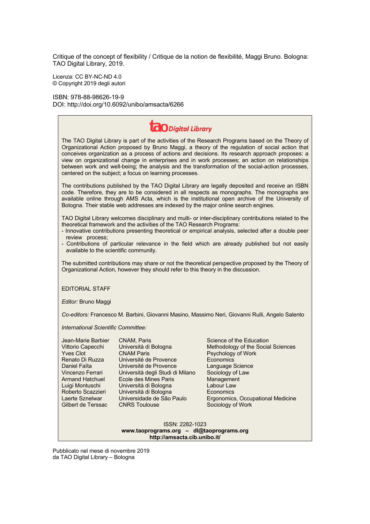Critique of the concept of flexibility / Critique de la notion de flexibilité, Maggi Bruno. Bologna: TAO Digital Library, 2019.

Licenza: CC BY-NC-ND 4.0 © Copyright 2019 degli autori

ISBN: 978-88-98626-19-9 DOI: http://doi.org/10.6092/unibo/amsacta/6266

| <b>CO</b> Digital Library                                                                                                                                                                                                                                                                                                                                                                                                                                                                                                                                                |                                                                                                                                                                                                                                                                                   |                                                                                                                                                                                                                                              |
|--------------------------------------------------------------------------------------------------------------------------------------------------------------------------------------------------------------------------------------------------------------------------------------------------------------------------------------------------------------------------------------------------------------------------------------------------------------------------------------------------------------------------------------------------------------------------|-----------------------------------------------------------------------------------------------------------------------------------------------------------------------------------------------------------------------------------------------------------------------------------|----------------------------------------------------------------------------------------------------------------------------------------------------------------------------------------------------------------------------------------------|
| The TAO Digital Library is part of the activities of the Research Programs based on the Theory of<br>Organizational Action proposed by Bruno Maggi, a theory of the regulation of social action that<br>conceives organization as a process of actions and decisions. Its research approach proposes: a<br>view on organizational change in enterprises and in work processes; an action on relationships<br>between work and well-being; the analysis and the transformation of the social-action processes,<br>centered on the subject; a focus on learning processes. |                                                                                                                                                                                                                                                                                   |                                                                                                                                                                                                                                              |
| The contributions published by the TAO Digital Library are legally deposited and receive an ISBN<br>code. Therefore, they are to be considered in all respects as monographs. The monographs are<br>available online through AMS Acta, which is the institutional open archive of the University of<br>Bologna. Their stable web addresses are indexed by the major online search engines.                                                                                                                                                                               |                                                                                                                                                                                                                                                                                   |                                                                                                                                                                                                                                              |
| TAO Digital Library welcomes disciplinary and multi- or inter-disciplinary contributions related to the<br>theoretical framework and the activities of the TAO Research Programs:<br>- Innovative contributions presenting theoretical or empirical analysis, selected after a double peer<br>review process;<br>- Contributions of particular relevance in the field which are already published but not easily                                                                                                                                                         |                                                                                                                                                                                                                                                                                   |                                                                                                                                                                                                                                              |
| available to the scientific community.                                                                                                                                                                                                                                                                                                                                                                                                                                                                                                                                   |                                                                                                                                                                                                                                                                                   |                                                                                                                                                                                                                                              |
| The submitted contributions may share or not the theoretical perspective proposed by the Theory of<br>Organizational Action, however they should refer to this theory in the discussion.                                                                                                                                                                                                                                                                                                                                                                                 |                                                                                                                                                                                                                                                                                   |                                                                                                                                                                                                                                              |
| <b>EDITORIAL STAFF</b>                                                                                                                                                                                                                                                                                                                                                                                                                                                                                                                                                   |                                                                                                                                                                                                                                                                                   |                                                                                                                                                                                                                                              |
| Editor: Bruno Maggi                                                                                                                                                                                                                                                                                                                                                                                                                                                                                                                                                      |                                                                                                                                                                                                                                                                                   |                                                                                                                                                                                                                                              |
| Co-editors: Francesco M. Barbini, Giovanni Masino, Massimo Neri, Giovanni Rulli, Angelo Salento                                                                                                                                                                                                                                                                                                                                                                                                                                                                          |                                                                                                                                                                                                                                                                                   |                                                                                                                                                                                                                                              |
| International Scientific Committee:                                                                                                                                                                                                                                                                                                                                                                                                                                                                                                                                      |                                                                                                                                                                                                                                                                                   |                                                                                                                                                                                                                                              |
| Jean-Marie Barbier<br>Vittorio Capecchi<br><b>Yves Clot</b><br>Renato Di Ruzza<br>Daniel Faïta<br>Vincenzo Ferrari<br><b>Armand Hatchuel</b><br>Luigi Montuschi<br>Roberto Scazzieri<br>Laerte Sznelwar<br>Gilbert de Terssac                                                                                                                                                                                                                                                                                                                                            | CNAM, Paris<br>Università di Bologna<br><b>CNAM Paris</b><br>Université de Provence<br>Université de Provence<br>Università degli Studi di Milano<br>Ecole des Mines Paris<br>Università di Bologna<br>Università di Bologna<br>Universidade de São Paulo<br><b>CNRS Toulouse</b> | Science of the Education<br>Methodology of the Social Sciences<br>Psychology of Work<br>Economics<br>Language Science<br>Sociology of Law<br>Management<br>Labour Law<br>Economics<br>Ergonomics, Occupational Medicine<br>Sociology of Work |
| ISSN: 2282-1023<br>www.taoprograms.org - dl@taoprograms.org<br>http://amsacta.cib.unibo.it/                                                                                                                                                                                                                                                                                                                                                                                                                                                                              |                                                                                                                                                                                                                                                                                   |                                                                                                                                                                                                                                              |

Pubblicato nel mese di novembre 2019 da TAO Digital Library – Bologna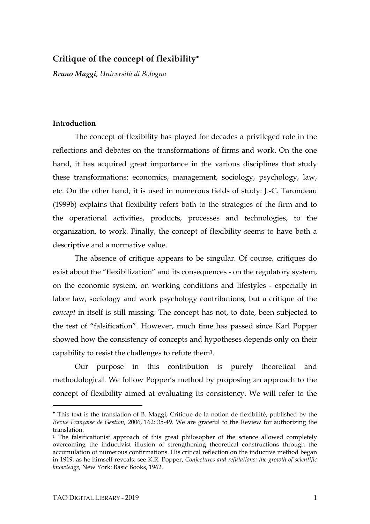# **Critique of the concept of flexibility**•

*Bruno Maggi, Università di Bologna*

#### **Introduction**

The concept of flexibility has played for decades a privileged role in the reflections and debates on the transformations of firms and work. On the one hand, it has acquired great importance in the various disciplines that study these transformations: economics, management, sociology, psychology, law, etc. On the other hand, it is used in numerous fields of study: J.-C. Tarondeau (1999b) explains that flexibility refers both to the strategies of the firm and to the operational activities, products, processes and technologies, to the organization, to work. Finally, the concept of flexibility seems to have both a descriptive and a normative value.

The absence of critique appears to be singular. Of course, critiques do exist about the "flexibilization" and its consequences - on the regulatory system, on the economic system, on working conditions and lifestyles - especially in labor law, sociology and work psychology contributions, but a critique of the *concept* in itself is still missing. The concept has not, to date, been subjected to the test of "falsification". However, much time has passed since Karl Popper showed how the consistency of concepts and hypotheses depends only on their capability to resist the challenges to refute them1.

Our purpose in this contribution is purely theoretical and methodological. We follow Popper's method by proposing an approach to the concept of flexibility aimed at evaluating its consistency. We will refer to the

<sup>•</sup> This text is the translation of B. Maggi, Critique de la notion de flexibilité, published by the *Revue Française de Gestion*, 2006, 162: 35-49. We are grateful to the Review for authorizing the translation.

<sup>&</sup>lt;sup>1</sup> The falsificationist approach of this great philosopher of the science allowed completely overcoming the inductivist illusion of strengthening theoretical constructions through the accumulation of numerous confirmations. His critical reflection on the inductive method began in 1919, as he himself reveals: see K.R. Popper, *Conjectures and refutations: the growth of scientific knowledge*, New York: Basic Books, 1962.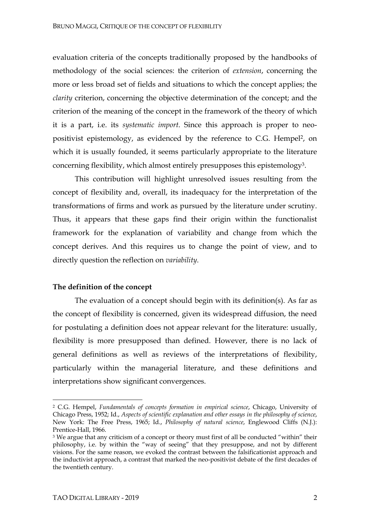evaluation criteria of the concepts traditionally proposed by the handbooks of methodology of the social sciences: the criterion of *extension*, concerning the more or less broad set of fields and situations to which the concept applies; the *clarity* criterion, concerning the objective determination of the concept; and the criterion of the meaning of the concept in the framework of the theory of which it is a part, i.e. its *systematic import*. Since this approach is proper to neopositivist epistemology, as evidenced by the reference to C.G. Hempel<sup>2</sup>, on which it is usually founded, it seems particularly appropriate to the literature concerning flexibility, which almost entirely presupposes this epistemology3.

This contribution will highlight unresolved issues resulting from the concept of flexibility and, overall, its inadequacy for the interpretation of the transformations of firms and work as pursued by the literature under scrutiny. Thus, it appears that these gaps find their origin within the functionalist framework for the explanation of variability and change from which the concept derives. And this requires us to change the point of view, and to directly question the reflection on *variability*.

# **The definition of the concept**

The evaluation of a concept should begin with its definition(s). As far as the concept of flexibility is concerned, given its widespread diffusion, the need for postulating a definition does not appear relevant for the literature: usually, flexibility is more presupposed than defined. However, there is no lack of general definitions as well as reviews of the interpretations of flexibility, particularly within the managerial literature, and these definitions and interpretations show significant convergences.

<sup>2</sup> C.G. Hempel, *Fundamentals of concepts formation in empirical science*, Chicago, University of Chicago Press, 1952; Id., *Aspects of scientific explanation and other essays in the philosophy of science*, New York: The Free Press, 1965; Id., *Philosophy of natural science*, Englewood Cliffs (N.J.): Prentice-Hall, 1966.

<sup>&</sup>lt;sup>3</sup> We argue that any criticism of a concept or theory must first of all be conducted "within" their philosophy, i.e. by within the "way of seeing" that they presuppose, and not by different visions. For the same reason, we evoked the contrast between the falsificationist approach and the inductivist approach, a contrast that marked the neo-positivist debate of the first decades of the twentieth century.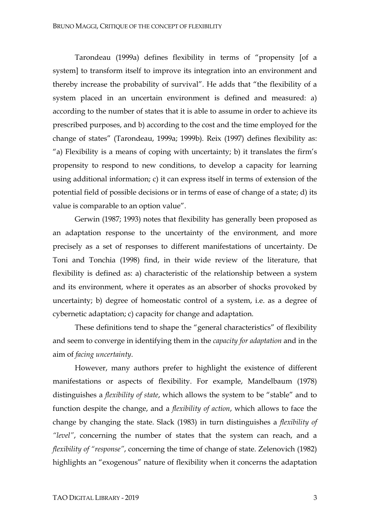Tarondeau (1999a) defines flexibility in terms of "propensity [of a system] to transform itself to improve its integration into an environment and thereby increase the probability of survival". He adds that "the flexibility of a system placed in an uncertain environment is defined and measured: a) according to the number of states that it is able to assume in order to achieve its prescribed purposes, and b) according to the cost and the time employed for the change of states" (Tarondeau, 1999a; 1999b). Reix (1997) defines flexibility as: "a) Flexibility is a means of coping with uncertainty; b) it translates the firm's propensity to respond to new conditions, to develop a capacity for learning using additional information; c) it can express itself in terms of extension of the potential field of possible decisions or in terms of ease of change of a state; d) its value is comparable to an option value".

Gerwin (1987; 1993) notes that flexibility has generally been proposed as an adaptation response to the uncertainty of the environment, and more precisely as a set of responses to different manifestations of uncertainty. De Toni and Tonchia (1998) find, in their wide review of the literature, that flexibility is defined as: a) characteristic of the relationship between a system and its environment, where it operates as an absorber of shocks provoked by uncertainty; b) degree of homeostatic control of a system, i.e. as a degree of cybernetic adaptation; c) capacity for change and adaptation.

These definitions tend to shape the "general characteristics" of flexibility and seem to converge in identifying them in the *capacity for adaptation* and in the aim of *facing uncertainty*.

However, many authors prefer to highlight the existence of different manifestations or aspects of flexibility. For example, Mandelbaum (1978) distinguishes a *flexibility of state*, which allows the system to be "stable" and to function despite the change, and a *flexibility of action*, which allows to face the change by changing the state. Slack (1983) in turn distinguishes a *flexibility of "level"*, concerning the number of states that the system can reach, and a *flexibility of "response"*, concerning the time of change of state. Zelenovich (1982) highlights an "exogenous" nature of flexibility when it concerns the adaptation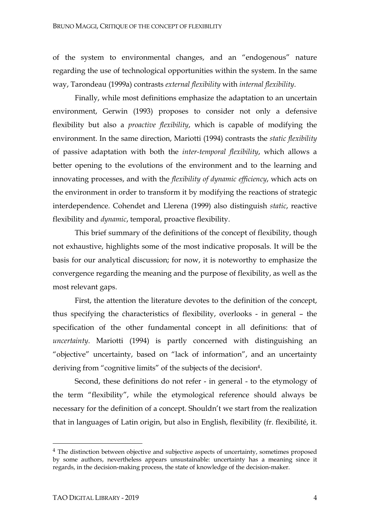of the system to environmental changes, and an "endogenous" nature regarding the use of technological opportunities within the system. In the same way, Tarondeau (1999a) contrasts *external flexibility* with *internal flexibility*.

Finally, while most definitions emphasize the adaptation to an uncertain environment, Gerwin (1993) proposes to consider not only a defensive flexibility but also a *proactive flexibility*, which is capable of modifying the environment. In the same direction, Mariotti (1994) contrasts the *static flexibility* of passive adaptation with both the *inter-temporal flexibility*, which allows a better opening to the evolutions of the environment and to the learning and innovating processes, and with the *flexibility of dynamic efficiency*, which acts on the environment in order to transform it by modifying the reactions of strategic interdependence. Cohendet and Llerena (1999) also distinguish *static*, reactive flexibility and *dynamic*, temporal, proactive flexibility.

This brief summary of the definitions of the concept of flexibility, though not exhaustive, highlights some of the most indicative proposals. It will be the basis for our analytical discussion; for now, it is noteworthy to emphasize the convergence regarding the meaning and the purpose of flexibility, as well as the most relevant gaps.

First, the attention the literature devotes to the definition of the concept, thus specifying the characteristics of flexibility, overlooks - in general – the specification of the other fundamental concept in all definitions: that of *uncertainty*. Mariotti (1994) is partly concerned with distinguishing an "objective" uncertainty, based on "lack of information", and an uncertainty deriving from "cognitive limits" of the subjects of the decision<sup>4</sup>.

Second, these definitions do not refer - in general - to the etymology of the term "flexibility", while the etymological reference should always be necessary for the definition of a concept. Shouldn't we start from the realization that in languages of Latin origin, but also in English, flexibility (fr. flexibilité, it.

<sup>&</sup>lt;sup>4</sup> The distinction between objective and subjective aspects of uncertainty, sometimes proposed by some authors, nevertheless appears unsustainable: uncertainty has a meaning since it regards, in the decision-making process, the state of knowledge of the decision-maker.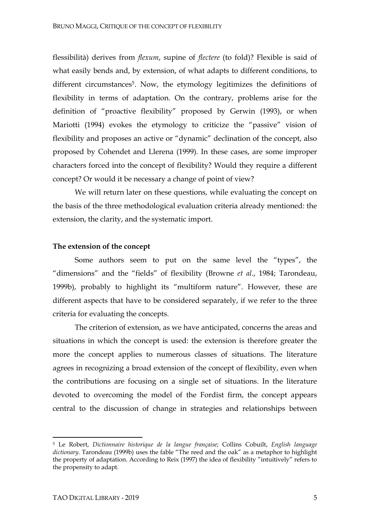flessibilità) derives from *flexum*, supine of *flectere* (to fold)? Flexible is said of what easily bends and, by extension, of what adapts to different conditions, to different circumstances<sup>5</sup>. Now, the etymology legitimizes the definitions of flexibility in terms of adaptation. On the contrary, problems arise for the definition of "proactive flexibility" proposed by Gerwin (1993), or when Mariotti (1994) evokes the etymology to criticize the "passive" vision of flexibility and proposes an active or "dynamic" declination of the concept, also proposed by Cohendet and Llerena (1999). In these cases, are some improper characters forced into the concept of flexibility? Would they require a different concept? Or would it be necessary a change of point of view?

We will return later on these questions, while evaluating the concept on the basis of the three methodological evaluation criteria already mentioned: the extension, the clarity, and the systematic import.

#### **The extension of the concept**

Some authors seem to put on the same level the "types", the "dimensions" and the "fields" of flexibility (Browne *et al*., 1984; Tarondeau, 1999b), probably to highlight its "multiform nature". However, these are different aspects that have to be considered separately, if we refer to the three criteria for evaluating the concepts.

The criterion of extension, as we have anticipated, concerns the areas and situations in which the concept is used: the extension is therefore greater the more the concept applies to numerous classes of situations. The literature agrees in recognizing a broad extension of the concept of flexibility, even when the contributions are focusing on a single set of situations. In the literature devoted to overcoming the model of the Fordist firm, the concept appears central to the discussion of change in strategies and relationships between

<sup>5</sup> Le Robert, *Dictionnaire historique de la langue française*; Collins Cobuilt, *English language dictionary*. Tarondeau (1999b) uses the fable "The reed and the oak" as a metaphor to highlight the property of adaptation. According to Reix (1997) the idea of flexibility "intuitively" refers to the propensity to adapt.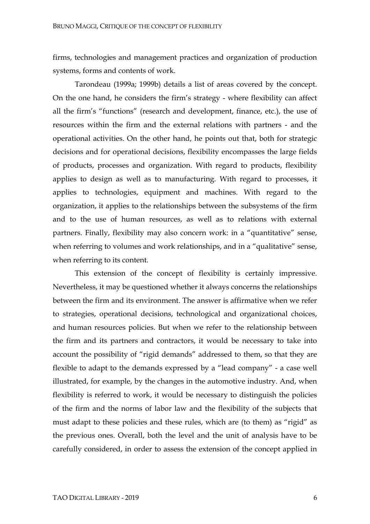firms, technologies and management practices and organization of production systems, forms and contents of work.

Tarondeau (1999a; 1999b) details a list of areas covered by the concept. On the one hand, he considers the firm's strategy - where flexibility can affect all the firm's "functions" (research and development, finance, etc.), the use of resources within the firm and the external relations with partners - and the operational activities. On the other hand, he points out that, both for strategic decisions and for operational decisions, flexibility encompasses the large fields of products, processes and organization. With regard to products, flexibility applies to design as well as to manufacturing. With regard to processes, it applies to technologies, equipment and machines. With regard to the organization, it applies to the relationships between the subsystems of the firm and to the use of human resources, as well as to relations with external partners. Finally, flexibility may also concern work: in a "quantitative" sense, when referring to volumes and work relationships, and in a "qualitative" sense, when referring to its content.

This extension of the concept of flexibility is certainly impressive. Nevertheless, it may be questioned whether it always concerns the relationships between the firm and its environment. The answer is affirmative when we refer to strategies, operational decisions, technological and organizational choices, and human resources policies. But when we refer to the relationship between the firm and its partners and contractors, it would be necessary to take into account the possibility of "rigid demands" addressed to them, so that they are flexible to adapt to the demands expressed by a "lead company" - a case well illustrated, for example, by the changes in the automotive industry. And, when flexibility is referred to work, it would be necessary to distinguish the policies of the firm and the norms of labor law and the flexibility of the subjects that must adapt to these policies and these rules, which are (to them) as "rigid" as the previous ones. Overall, both the level and the unit of analysis have to be carefully considered, in order to assess the extension of the concept applied in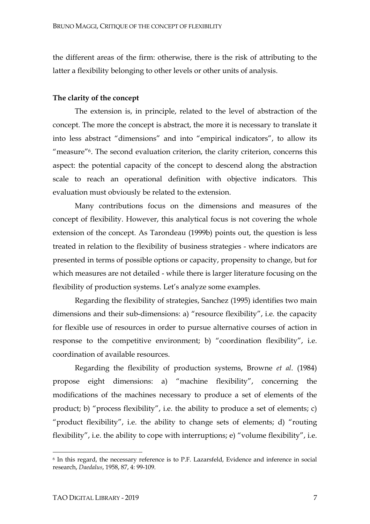the different areas of the firm: otherwise, there is the risk of attributing to the latter a flexibility belonging to other levels or other units of analysis.

## **The clarity of the concept**

The extension is, in principle, related to the level of abstraction of the concept. The more the concept is abstract, the more it is necessary to translate it into less abstract "dimensions" and into "empirical indicators", to allow its "measure"6. The second evaluation criterion, the clarity criterion, concerns this aspect: the potential capacity of the concept to descend along the abstraction scale to reach an operational definition with objective indicators. This evaluation must obviously be related to the extension.

Many contributions focus on the dimensions and measures of the concept of flexibility. However, this analytical focus is not covering the whole extension of the concept. As Tarondeau (1999b) points out, the question is less treated in relation to the flexibility of business strategies - where indicators are presented in terms of possible options or capacity, propensity to change, but for which measures are not detailed - while there is larger literature focusing on the flexibility of production systems. Let's analyze some examples.

Regarding the flexibility of strategies, Sanchez (1995) identifies two main dimensions and their sub-dimensions: a) "resource flexibility", i.e. the capacity for flexible use of resources in order to pursue alternative courses of action in response to the competitive environment; b) "coordination flexibility", i.e. coordination of available resources.

Regarding the flexibility of production systems, Browne *et al*. (1984) propose eight dimensions: a) "machine flexibility", concerning the modifications of the machines necessary to produce a set of elements of the product; b) "process flexibility", i.e. the ability to produce a set of elements; c) "product flexibility", i.e. the ability to change sets of elements; d) "routing flexibility", i.e. the ability to cope with interruptions; e) "volume flexibility", i.e.

<sup>6</sup> In this regard, the necessary reference is to P.F. Lazarsfeld, Evidence and inference in social research, *Daedalus*, 1958, 87, 4: 99-109.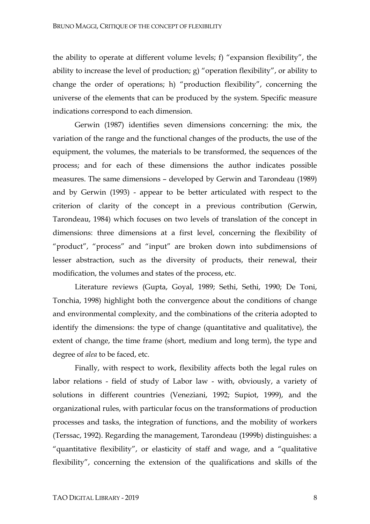the ability to operate at different volume levels; f) "expansion flexibility", the ability to increase the level of production; g) "operation flexibility", or ability to change the order of operations; h) "production flexibility", concerning the universe of the elements that can be produced by the system. Specific measure indications correspond to each dimension.

Gerwin (1987) identifies seven dimensions concerning: the mix, the variation of the range and the functional changes of the products, the use of the equipment, the volumes, the materials to be transformed, the sequences of the process; and for each of these dimensions the author indicates possible measures. The same dimensions – developed by Gerwin and Tarondeau (1989) and by Gerwin (1993) - appear to be better articulated with respect to the criterion of clarity of the concept in a previous contribution (Gerwin, Tarondeau, 1984) which focuses on two levels of translation of the concept in dimensions: three dimensions at a first level, concerning the flexibility of "product", "process" and "input" are broken down into subdimensions of lesser abstraction, such as the diversity of products, their renewal, their modification, the volumes and states of the process, etc.

Literature reviews (Gupta, Goyal, 1989; Sethi, Sethi, 1990; De Toni, Tonchia, 1998) highlight both the convergence about the conditions of change and environmental complexity, and the combinations of the criteria adopted to identify the dimensions: the type of change (quantitative and qualitative), the extent of change, the time frame (short, medium and long term), the type and degree of *alea* to be faced, etc.

Finally, with respect to work, flexibility affects both the legal rules on labor relations - field of study of Labor law - with, obviously, a variety of solutions in different countries (Veneziani, 1992; Supiot, 1999), and the organizational rules, with particular focus on the transformations of production processes and tasks, the integration of functions, and the mobility of workers (Terssac, 1992). Regarding the management, Tarondeau (1999b) distinguishes: a "quantitative flexibility", or elasticity of staff and wage, and a "qualitative flexibility", concerning the extension of the qualifications and skills of the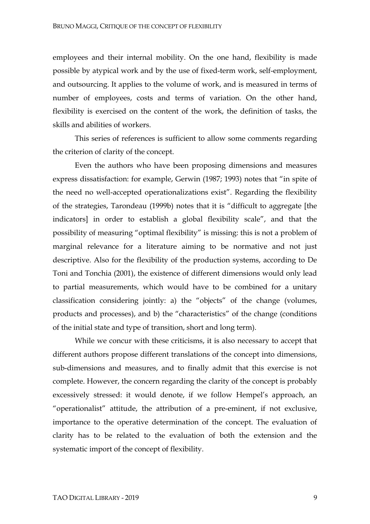employees and their internal mobility. On the one hand, flexibility is made possible by atypical work and by the use of fixed-term work, self-employment, and outsourcing. It applies to the volume of work, and is measured in terms of number of employees, costs and terms of variation. On the other hand, flexibility is exercised on the content of the work, the definition of tasks, the skills and abilities of workers.

This series of references is sufficient to allow some comments regarding the criterion of clarity of the concept.

Even the authors who have been proposing dimensions and measures express dissatisfaction: for example, Gerwin (1987; 1993) notes that "in spite of the need no well-accepted operationalizations exist". Regarding the flexibility of the strategies, Tarondeau (1999b) notes that it is "difficult to aggregate [the indicators] in order to establish a global flexibility scale", and that the possibility of measuring "optimal flexibility" is missing: this is not a problem of marginal relevance for a literature aiming to be normative and not just descriptive. Also for the flexibility of the production systems, according to De Toni and Tonchia (2001), the existence of different dimensions would only lead to partial measurements, which would have to be combined for a unitary classification considering jointly: a) the "objects" of the change (volumes, products and processes), and b) the "characteristics" of the change (conditions of the initial state and type of transition, short and long term).

While we concur with these criticisms, it is also necessary to accept that different authors propose different translations of the concept into dimensions, sub-dimensions and measures, and to finally admit that this exercise is not complete. However, the concern regarding the clarity of the concept is probably excessively stressed: it would denote, if we follow Hempel's approach, an "operationalist" attitude, the attribution of a pre-eminent, if not exclusive, importance to the operative determination of the concept. The evaluation of clarity has to be related to the evaluation of both the extension and the systematic import of the concept of flexibility.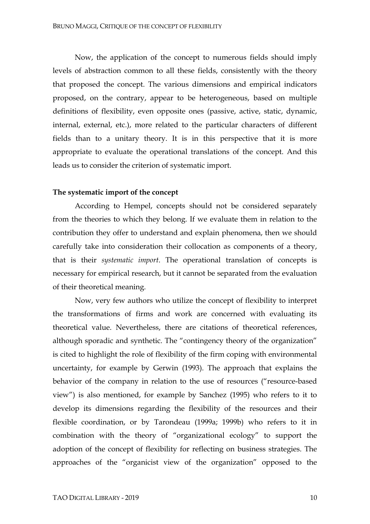Now, the application of the concept to numerous fields should imply levels of abstraction common to all these fields, consistently with the theory that proposed the concept. The various dimensions and empirical indicators proposed, on the contrary, appear to be heterogeneous, based on multiple definitions of flexibility, even opposite ones (passive, active, static, dynamic, internal, external, etc.), more related to the particular characters of different fields than to a unitary theory. It is in this perspective that it is more appropriate to evaluate the operational translations of the concept. And this leads us to consider the criterion of systematic import.

# **The systematic import of the concept**

According to Hempel, concepts should not be considered separately from the theories to which they belong. If we evaluate them in relation to the contribution they offer to understand and explain phenomena, then we should carefully take into consideration their collocation as components of a theory, that is their *systematic import*. The operational translation of concepts is necessary for empirical research, but it cannot be separated from the evaluation of their theoretical meaning.

Now, very few authors who utilize the concept of flexibility to interpret the transformations of firms and work are concerned with evaluating its theoretical value. Nevertheless, there are citations of theoretical references, although sporadic and synthetic. The "contingency theory of the organization" is cited to highlight the role of flexibility of the firm coping with environmental uncertainty, for example by Gerwin (1993). The approach that explains the behavior of the company in relation to the use of resources ("resource-based view") is also mentioned, for example by Sanchez (1995) who refers to it to develop its dimensions regarding the flexibility of the resources and their flexible coordination, or by Tarondeau (1999a; 1999b) who refers to it in combination with the theory of "organizational ecology" to support the adoption of the concept of flexibility for reflecting on business strategies. The approaches of the "organicist view of the organization" opposed to the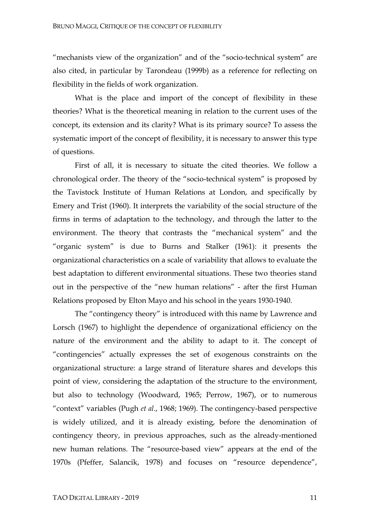"mechanists view of the organization" and of the "socio-technical system" are also cited, in particular by Tarondeau (1999b) as a reference for reflecting on flexibility in the fields of work organization.

What is the place and import of the concept of flexibility in these theories? What is the theoretical meaning in relation to the current uses of the concept, its extension and its clarity? What is its primary source? To assess the systematic import of the concept of flexibility, it is necessary to answer this type of questions.

First of all, it is necessary to situate the cited theories. We follow a chronological order. The theory of the "socio-technical system" is proposed by the Tavistock Institute of Human Relations at London, and specifically by Emery and Trist (1960). It interprets the variability of the social structure of the firms in terms of adaptation to the technology, and through the latter to the environment. The theory that contrasts the "mechanical system" and the "organic system" is due to Burns and Stalker (1961): it presents the organizational characteristics on a scale of variability that allows to evaluate the best adaptation to different environmental situations. These two theories stand out in the perspective of the "new human relations" - after the first Human Relations proposed by Elton Mayo and his school in the years 1930-1940.

The "contingency theory" is introduced with this name by Lawrence and Lorsch (1967) to highlight the dependence of organizational efficiency on the nature of the environment and the ability to adapt to it. The concept of "contingencies" actually expresses the set of exogenous constraints on the organizational structure: a large strand of literature shares and develops this point of view, considering the adaptation of the structure to the environment, but also to technology (Woodward, 1965; Perrow, 1967), or to numerous "context" variables (Pugh *et al*., 1968; 1969). The contingency-based perspective is widely utilized, and it is already existing, before the denomination of contingency theory, in previous approaches, such as the already-mentioned new human relations. The "resource-based view" appears at the end of the 1970s (Pfeffer, Salancik, 1978) and focuses on "resource dependence",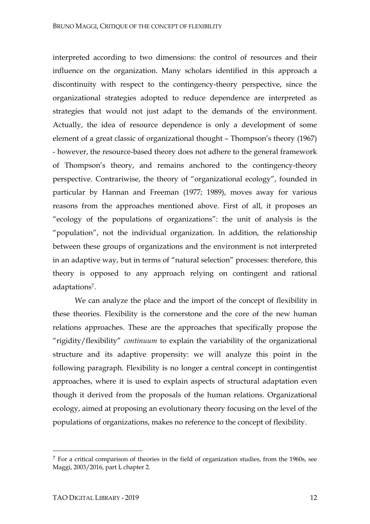interpreted according to two dimensions: the control of resources and their influence on the organization. Many scholars identified in this approach a discontinuity with respect to the contingency-theory perspective, since the organizational strategies adopted to reduce dependence are interpreted as strategies that would not just adapt to the demands of the environment. Actually, the idea of resource dependence is only a development of some element of a great classic of organizational thought – Thompson's theory (1967) - however, the resource-based theory does not adhere to the general framework of Thompson's theory, and remains anchored to the contingency-theory perspective. Contrariwise, the theory of "organizational ecology", founded in particular by Hannan and Freeman (1977; 1989), moves away for various reasons from the approaches mentioned above. First of all, it proposes an "ecology of the populations of organizations": the unit of analysis is the "population", not the individual organization. In addition, the relationship between these groups of organizations and the environment is not interpreted in an adaptive way, but in terms of "natural selection" processes: therefore, this theory is opposed to any approach relying on contingent and rational adaptations7.

We can analyze the place and the import of the concept of flexibility in these theories. Flexibility is the cornerstone and the core of the new human relations approaches. These are the approaches that specifically propose the "rigidity/flexibility" *continuum* to explain the variability of the organizational structure and its adaptive propensity: we will analyze this point in the following paragraph. Flexibility is no longer a central concept in contingentist approaches, where it is used to explain aspects of structural adaptation even though it derived from the proposals of the human relations. Organizational ecology, aimed at proposing an evolutionary theory focusing on the level of the populations of organizations, makes no reference to the concept of flexibility.

 $<sup>7</sup>$  For a critical comparison of theories in the field of organization studies, from the 1960s, see</sup> Maggi, 2003/2016, part I, chapter 2.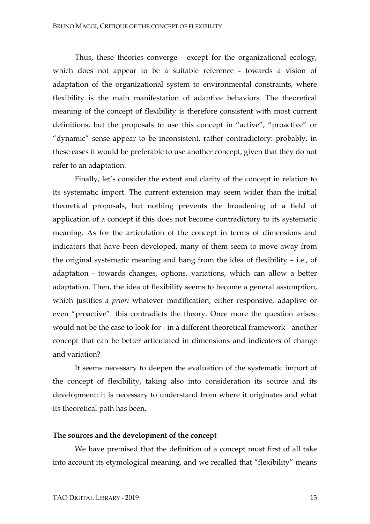Thus, these theories converge - except for the organizational ecology, which does not appear to be a suitable reference - towards a vision of adaptation of the organizational system to environmental constraints, where flexibility is the main manifestation of adaptive behaviors. The theoretical meaning of the concept of flexibility is therefore consistent with most current definitions, but the proposals to use this concept in "active", "proactive" or "dynamic" sense appear to be inconsistent, rather contradictory: probably, in these cases it would be preferable to use another concept, given that they do not refer to an adaptation.

Finally, let's consider the extent and clarity of the concept in relation to its systematic import. The current extension may seem wider than the initial theoretical proposals, but nothing prevents the broadening of a field of application of a concept if this does not become contradictory to its systematic meaning. As for the articulation of the concept in terms of dimensions and indicators that have been developed, many of them seem to move away from the original systematic meaning and hang from the idea of flexibility – i.e., of adaptation - towards changes, options, variations, which can allow a better adaptation. Then, the idea of flexibility seems to become a general assumption, which justifies *a priori* whatever modification, either responsive, adaptive or even "proactive": this contradicts the theory. Once more the question arises: would not be the case to look for - in a different theoretical framework - another concept that can be better articulated in dimensions and indicators of change and variation?

It seems necessary to deepen the evaluation of the systematic import of the concept of flexibility, taking also into consideration its source and its development: it is necessary to understand from where it originates and what its theoretical path has been.

#### **The sources and the development of the concept**

We have premised that the definition of a concept must first of all take into account its etymological meaning, and we recalled that "flexibility" means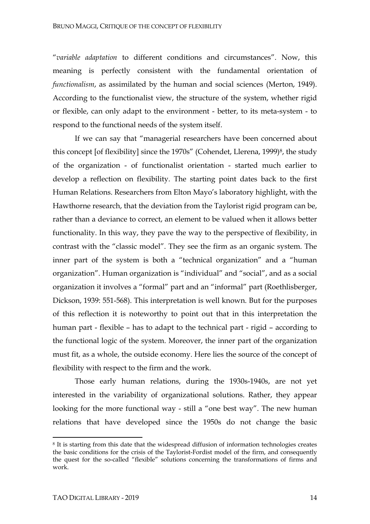"*variable adaptation* to different conditions and circumstances". Now, this meaning is perfectly consistent with the fundamental orientation of *functionalism*, as assimilated by the human and social sciences (Merton, 1949). According to the functionalist view, the structure of the system, whether rigid or flexible, can only adapt to the environment - better, to its meta-system - to respond to the functional needs of the system itself.

If we can say that "managerial researchers have been concerned about this concept [of flexibility] since the 1970s" (Cohendet, Llerena, 1999)<sup>8</sup>, the study of the organization - of functionalist orientation - started much earlier to develop a reflection on flexibility. The starting point dates back to the first Human Relations. Researchers from Elton Mayo's laboratory highlight, with the Hawthorne research, that the deviation from the Taylorist rigid program can be, rather than a deviance to correct, an element to be valued when it allows better functionality. In this way, they pave the way to the perspective of flexibility, in contrast with the "classic model". They see the firm as an organic system. The inner part of the system is both a "technical organization" and a "human organization". Human organization is "individual" and "social", and as a social organization it involves a "formal" part and an "informal" part (Roethlisberger, Dickson, 1939: 551-568). This interpretation is well known. But for the purposes of this reflection it is noteworthy to point out that in this interpretation the human part - flexible – has to adapt to the technical part - rigid – according to the functional logic of the system. Moreover, the inner part of the organization must fit, as a whole, the outside economy. Here lies the source of the concept of flexibility with respect to the firm and the work.

Those early human relations, during the 1930s-1940s, are not yet interested in the variability of organizational solutions. Rather, they appear looking for the more functional way - still a "one best way". The new human relations that have developed since the 1950s do not change the basic

<sup>8</sup> It is starting from this date that the widespread diffusion of information technologies creates the basic conditions for the crisis of the Taylorist-Fordist model of the firm, and consequently the quest for the so-called "flexible" solutions concerning the transformations of firms and work.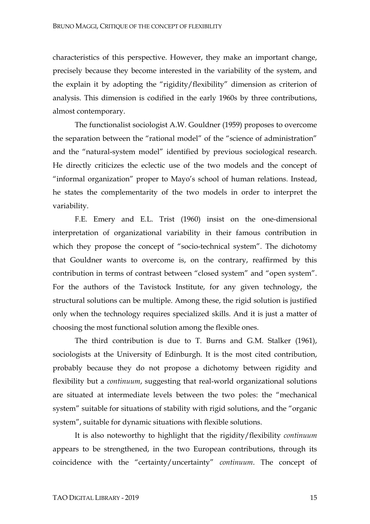characteristics of this perspective. However, they make an important change, precisely because they become interested in the variability of the system, and the explain it by adopting the "rigidity/flexibility" dimension as criterion of analysis. This dimension is codified in the early 1960s by three contributions, almost contemporary.

The functionalist sociologist A.W. Gouldner (1959) proposes to overcome the separation between the "rational model" of the "science of administration" and the "natural-system model" identified by previous sociological research. He directly criticizes the eclectic use of the two models and the concept of "informal organization" proper to Mayo's school of human relations. Instead, he states the complementarity of the two models in order to interpret the variability.

F.E. Emery and E.L. Trist (1960) insist on the one-dimensional interpretation of organizational variability in their famous contribution in which they propose the concept of "socio-technical system". The dichotomy that Gouldner wants to overcome is, on the contrary, reaffirmed by this contribution in terms of contrast between "closed system" and "open system". For the authors of the Tavistock Institute, for any given technology, the structural solutions can be multiple. Among these, the rigid solution is justified only when the technology requires specialized skills. And it is just a matter of choosing the most functional solution among the flexible ones.

The third contribution is due to T. Burns and G.M. Stalker (1961), sociologists at the University of Edinburgh. It is the most cited contribution, probably because they do not propose a dichotomy between rigidity and flexibility but a *continuum*, suggesting that real-world organizational solutions are situated at intermediate levels between the two poles: the "mechanical system" suitable for situations of stability with rigid solutions, and the "organic system", suitable for dynamic situations with flexible solutions.

It is also noteworthy to highlight that the rigidity/flexibility *continuum* appears to be strengthened, in the two European contributions, through its coincidence with the "certainty/uncertainty" *continuum*. The concept of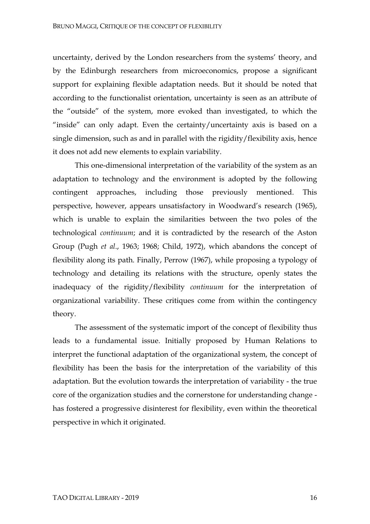uncertainty, derived by the London researchers from the systems' theory, and by the Edinburgh researchers from microeconomics, propose a significant support for explaining flexible adaptation needs. But it should be noted that according to the functionalist orientation, uncertainty is seen as an attribute of the "outside" of the system, more evoked than investigated, to which the "inside" can only adapt. Even the certainty/uncertainty axis is based on a single dimension, such as and in parallel with the rigidity/flexibility axis, hence it does not add new elements to explain variability.

This one-dimensional interpretation of the variability of the system as an adaptation to technology and the environment is adopted by the following contingent approaches, including those previously mentioned. This perspective, however, appears unsatisfactory in Woodward's research (1965), which is unable to explain the similarities between the two poles of the technological *continuum*; and it is contradicted by the research of the Aston Group (Pugh *et al*., 1963; 1968; Child, 1972), which abandons the concept of flexibility along its path. Finally, Perrow (1967), while proposing a typology of technology and detailing its relations with the structure, openly states the inadequacy of the rigidity/flexibility *continuum* for the interpretation of organizational variability. These critiques come from within the contingency theory.

The assessment of the systematic import of the concept of flexibility thus leads to a fundamental issue. Initially proposed by Human Relations to interpret the functional adaptation of the organizational system, the concept of flexibility has been the basis for the interpretation of the variability of this adaptation. But the evolution towards the interpretation of variability - the true core of the organization studies and the cornerstone for understanding change has fostered a progressive disinterest for flexibility, even within the theoretical perspective in which it originated.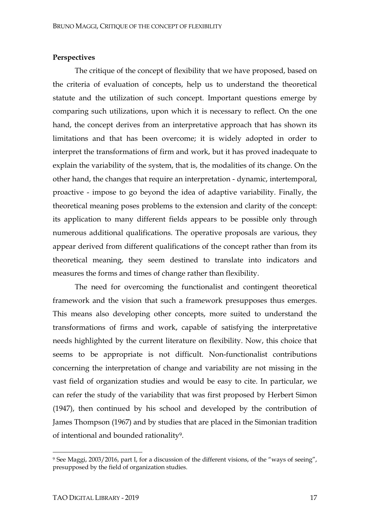## **Perspectives**

The critique of the concept of flexibility that we have proposed, based on the criteria of evaluation of concepts, help us to understand the theoretical statute and the utilization of such concept. Important questions emerge by comparing such utilizations, upon which it is necessary to reflect. On the one hand, the concept derives from an interpretative approach that has shown its limitations and that has been overcome; it is widely adopted in order to interpret the transformations of firm and work, but it has proved inadequate to explain the variability of the system, that is, the modalities of its change. On the other hand, the changes that require an interpretation - dynamic, intertemporal, proactive - impose to go beyond the idea of adaptive variability. Finally, the theoretical meaning poses problems to the extension and clarity of the concept: its application to many different fields appears to be possible only through numerous additional qualifications. The operative proposals are various, they appear derived from different qualifications of the concept rather than from its theoretical meaning, they seem destined to translate into indicators and measures the forms and times of change rather than flexibility.

The need for overcoming the functionalist and contingent theoretical framework and the vision that such a framework presupposes thus emerges. This means also developing other concepts, more suited to understand the transformations of firms and work, capable of satisfying the interpretative needs highlighted by the current literature on flexibility. Now, this choice that seems to be appropriate is not difficult. Non-functionalist contributions concerning the interpretation of change and variability are not missing in the vast field of organization studies and would be easy to cite. In particular, we can refer the study of the variability that was first proposed by Herbert Simon (1947), then continued by his school and developed by the contribution of James Thompson (1967) and by studies that are placed in the Simonian tradition of intentional and bounded rationality9.

<sup>9</sup> See Maggi, 2003/2016, part I, for a discussion of the different visions, of the "ways of seeing", presupposed by the field of organization studies.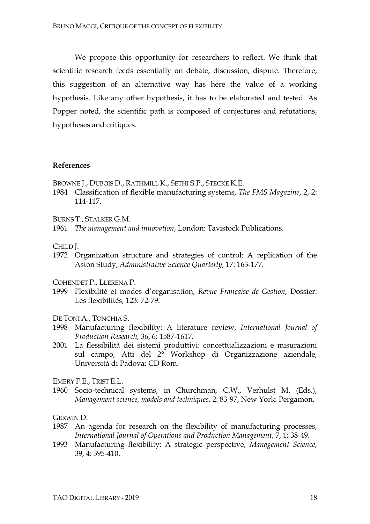We propose this opportunity for researchers to reflect. We think that scientific research feeds essentially on debate, discussion, dispute. Therefore, this suggestion of an alternative way has here the value of a working hypothesis. Like any other hypothesis, it has to be elaborated and tested. As Popper noted, the scientific path is composed of conjectures and refutations, hypotheses and critiques.

#### **References**

BROWNE J., DUBOIS D., RATHMILL K., SETHI S.P., STECKE K.E.

- 1984 Classification of flexible manufacturing systems, *The FMS Magazine*, 2, 2: 114-117.
- BURNS T., STALKER G.M.

1961 *The management and innovation*, London: Tavistock Publications.

CHILD J.

1972 Organization structure and strategies of control: A replication of the Aston Study, *Administrative Science Quarterly*, 17: 163-177.

COHENDET P., LLERENA P.

- 1999 Flexibilité et modes d'organisation, *Revue Française de Gestion*, Dossier: Les flexibilités, 123: 72-79.
- DE TONI A., TONCHIA S.
- 1998 Manufacturing flexibility: A literature review, *International Journal of Production Research*, 36, 6: 1587-1617.
- 2001 La flessibilità dei sistemi produttivi: concettualizzazioni e misurazioni sul campo, Atti del 2° Workshop di Organizzazione aziendale, Università di Padova: CD Rom.

EMERY F.E., TRIST E.L.

1960 Socio-technical systems, in Churchman, C.W., Verhulst M. (Eds.), *Management science, models and techniques*, 2: 83-97, New York: Pergamon.

GERWIN D.

- 1987 An agenda for research on the flexibility of manufacturing processes, *International Journal of Operations and Production Management*, 7, 1: 38-49.
- 1993 Manufacturing flexibility: A strategic perspective, *Management Science*, 39, 4: 395-410.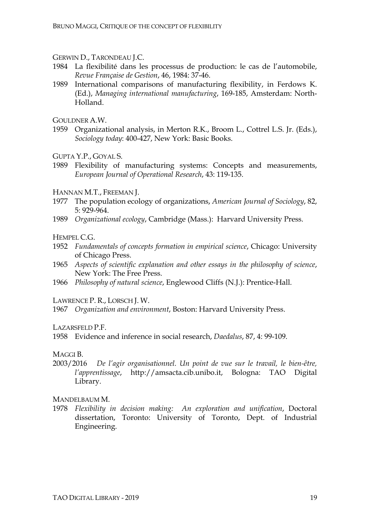# GERWIN D., TARONDEAU J.C.

- 1984 La flexibilité dans les processus de production: le cas de l'automobile, *Revue Française de Gestion*, 46, 1984: 37-46.
- 1989 International comparisons of manufacturing flexibility, in Ferdows K. (Ed.), *Managing international manufacturing*, 169-185, Amsterdam: North-Holland.

GOULDNER A.W.

1959 Organizational analysis, in Merton R.K., Broom L., Cottrel L.S. Jr. (Eds.), *Sociology today*: 400-427, New York: Basic Books.

GUPTA Y.P., GOYAL S.

1989 Flexibility of manufacturing systems: Concepts and measurements, *European Journal of Operational Research*, 43: 119-135.

HANNAN M.T., FREEMAN J.

- 1977 The population ecology of organizations, *American Journal of Sociology*, 82, 5: 929-964.
- 1989 *Organizational ecology*, Cambridge (Mass.): Harvard University Press.

HEMPEL C.G.

- 1952 *Fundamentals of concepts formation in empirical science*, Chicago: University of Chicago Press.
- 1965 *Aspects of scientific explanation and other essays in the philosophy of science*, New York: The Free Press.
- 1966 *Philosophy of natural science*, Englewood Cliffs (N.J.): Prentice-Hall.

LAWRENCE P. R., LORSCH J. W.

1967 *Organization and environment*, Boston: Harvard University Press.

LAZARSFELD P.F.

1958 Evidence and inference in social research, *Daedalus*, 87, 4: 99-109.

## MAGGI B.

2003/2016 *De l'agir organisationnel. Un point de vue sur le travail, le bien-être, l'apprentissage*, http://amsacta.cib.unibo.it, Bologna: TAO Digital Library.

# MANDELBAUM M.

1978 *Flexibility in decision making: An exploration and unification*, Doctoral dissertation, Toronto: University of Toronto, Dept. of Industrial Engineering.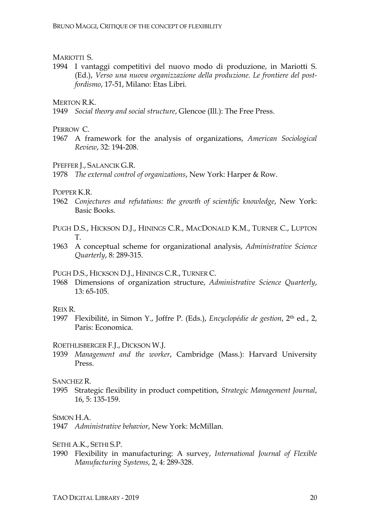## MARIOTTI S.

1994 I vantaggi competitivi del nuovo modo di produzione, in Mariotti S. (Ed.), *Verso una nuova organizzazione della produzione. Le frontiere del postfordismo*, 17-51, Milano: Etas Libri.

MERTON R.K.

1949 *Social theory and social structure*, Glencoe (Ill.): The Free Press.

PERROW C.

1967 A framework for the analysis of organizations, *American Sociological Review*, 32: 194-208.

PFEFFER J., SALANCIK G.R.

1978 *The external control of organizations*, New York: Harper & Row.

POPPER K.R.

- 1962 *Conjectures and refutations: the growth of scientific knowledge*, New York: Basic Books.
- PUGH D.S., HICKSON D.J., HININGS C.R., MACDONALD K.M., TURNER C., LUPTON T.
- 1963 A conceptual scheme for organizational analysis, *Administrative Science Quarterly*, 8: 289-315.

PUGH D.S., HICKSON D.J., HININGS C.R., TURNER C.

1968 Dimensions of organization structure, *Administrative Science Quarterly*, 13: 65-105.

#### REIX R.

1997 Flexibilité, in Simon Y., Joffre P. (Eds.), *Encyclopédie de gestion*, 2th ed., 2, Paris: Economica.

ROETHLISBERGER F.J., DICKSON W.J.

1939 *Management and the worker*, Cambridge (Mass.): Harvard University Press.

SANCHEZ R.

1995 Strategic flexibility in product competition, *Strategic Management Journal*, 16, 5: 135-159.

SIMON H.A.

SETHI A.K., SETHI S.P.

1990 Flexibility in manufacturing: A survey, *International Journal of Flexible Manufacturing Systems*, 2, 4: 289-328.

<sup>1947</sup> *Administrative behavior*, New York: McMillan.